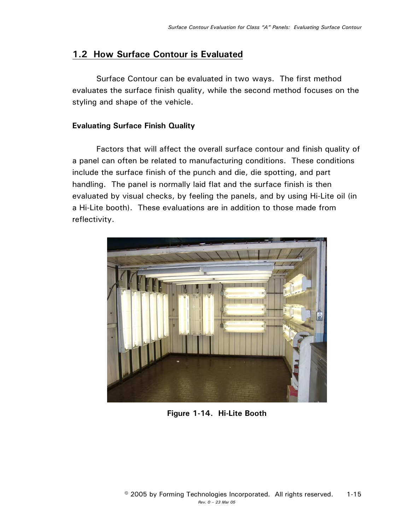## **1.2 How Surface Contour is Evaluated**

Surface Contour can be evaluated in two ways. The first method evaluates the surface finish quality, while the second method focuses on the styling and shape of the vehicle.

## **Evaluating Surface Finish Quality**

Factors that will affect the overall surface contour and finish quality of a panel can often be related to manufacturing conditions. These conditions include the surface finish of the punch and die, die spotting, and part handling. The panel is normally laid flat and the surface finish is then evaluated by visual checks, by feeling the panels, and by using Hi-Lite oil (in a Hi-Lite booth). These evaluations are in addition to those made from reflectivity.



**Figure 1-14. Hi-Lite Booth**